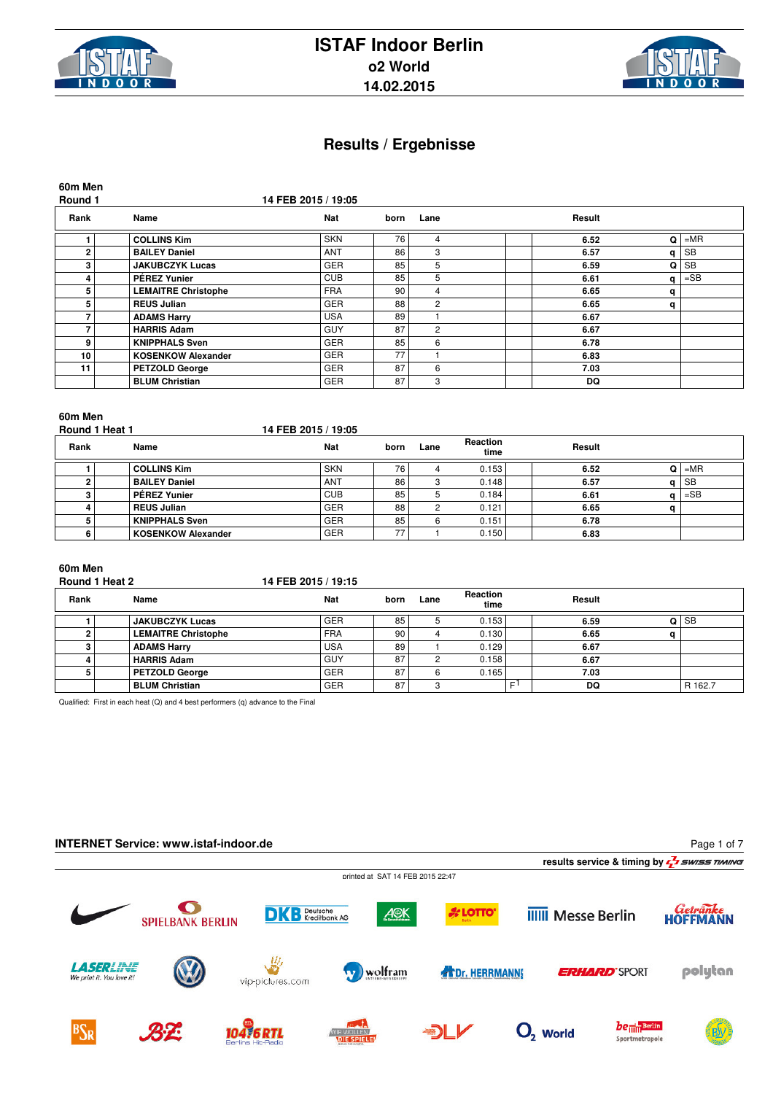



| 60m Men<br>Round 1 |                            | 14 FEB 2015 / 19:05 |      |                |        |   |           |
|--------------------|----------------------------|---------------------|------|----------------|--------|---|-----------|
| Rank               | Name                       | <b>Nat</b>          | born | Lane           | Result |   |           |
|                    | <b>COLLINS Kim</b>         | <b>SKN</b>          | 76   | 4              | 6.52   | Q | $= MR$    |
| $\overline{2}$     | <b>BAILEY Daniel</b>       | <b>ANT</b>          | 86   | 3              | 6.57   | q | <b>SB</b> |
| 3                  | <b>JAKUBCZYK Lucas</b>     | <b>GER</b>          | 85   | 5              | 6.59   | Q | <b>SB</b> |
| 4                  | <b>PÉREZ Yunier</b>        | <b>CUB</b>          | 85   | 5              | 6.61   | q | $=$ SB    |
| 5                  | <b>LEMAITRE Christophe</b> | <b>FRA</b>          | 90   | 4              | 6.65   | q |           |
| 5                  | <b>REUS Julian</b>         | <b>GER</b>          | 88   | $\overline{2}$ | 6.65   | q |           |
|                    | <b>ADAMS Harry</b>         | <b>USA</b>          | 89   |                | 6.67   |   |           |
| 7                  | <b>HARRIS Adam</b>         | <b>GUY</b>          | 87   | $\overline{2}$ | 6.67   |   |           |
| 9                  | <b>KNIPPHALS Sven</b>      | <b>GER</b>          | 85   | 6              | 6.78   |   |           |
| 10                 | <b>KOSENKOW Alexander</b>  | <b>GER</b>          | 77   |                | 6.83   |   |           |
| 11                 | <b>PETZOLD George</b>      | <b>GER</b>          | 87   | 6              | 7.03   |   |           |
|                    | <b>BLUM Christian</b>      | <b>GER</b>          | 87   | 3              | DQ     |   |           |

# **60m Men**

Round 1 Heat 1 **14 FEB 2015 / 19:05** 

| Rank | Name                      | <b>Nat</b> | born | Lane | Reaction<br>time | Result |           |
|------|---------------------------|------------|------|------|------------------|--------|-----------|
|      | <b>COLLINS Kim</b>        | <b>SKN</b> | 76   |      | 0.153            | 6.52   | $= MR$    |
|      | <b>BAILEY Daniel</b>      | <b>ANT</b> | 86   |      | 0.148            | 6.57   | <b>SB</b> |
|      | <b>PÉREZ Yunier</b>       | <b>CUB</b> | 85   |      | 0.184            | 6.61   | $=$ SB    |
|      | <b>REUS Julian</b>        | <b>GER</b> | 88   |      | 0.121            | 6.65   |           |
|      | <b>KNIPPHALS Sven</b>     | <b>GER</b> | 85   |      | 0.151            | 6.78   |           |
|      | <b>KOSENKOW Alexander</b> | <b>GER</b> | --   |      | 0.150            | 6.83   |           |

# **60m Men**

### **Round 1 Heat 2 14 FEB 2015 / 19:15**

| Rank | Name                       | <b>Nat</b> | born | Lane | <b>Reaction</b><br>time |   | Result |         |
|------|----------------------------|------------|------|------|-------------------------|---|--------|---------|
|      | <b>JAKUBCZYK Lucas</b>     | <b>GER</b> | 85   |      | 0.153                   |   | 6.59   | ∣ SB    |
|      | <b>LEMAITRE Christophe</b> | <b>FRA</b> | 90   |      | 0.130                   |   | 6.65   |         |
|      | <b>ADAMS Harry</b>         | <b>USA</b> | 89   |      | 0.129                   |   | 6.67   |         |
|      | <b>HARRIS Adam</b>         | <b>GUY</b> | 87   |      | 0.158                   |   | 6.67   |         |
|      | <b>PETZOLD George</b>      | <b>GER</b> | 87   |      | 0.165                   |   | 7.03   |         |
|      | <b>BLUM Christian</b>      | <b>GER</b> | 87   |      |                         | E | DQ     | R 162.7 |

Qualified: First in each heat (Q) and 4 best performers (q) advance to the Final

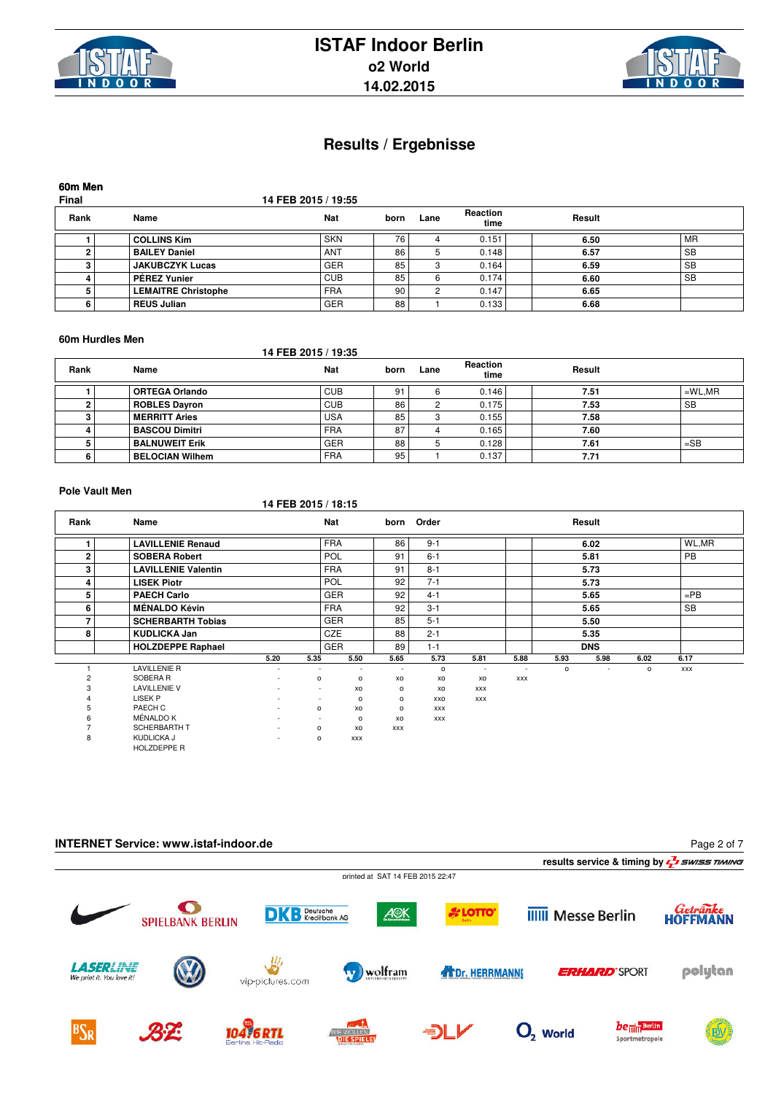



**60m Men**

**Final 14 FEB 2015 / 19:55**

| Rank | Name                       | Nat        | born | Lane | <b>Reaction</b><br>time | Result |           |
|------|----------------------------|------------|------|------|-------------------------|--------|-----------|
|      | <b>COLLINS Kim</b>         | <b>SKN</b> | 76   |      | 0.151                   | 6.50   | MR        |
|      | <b>BAILEY Daniel</b>       | <b>ANT</b> | 86   |      | 0.148                   | 6.57   | <b>SB</b> |
|      | <b>JAKUBCZYK Lucas</b>     | <b>GER</b> | 85   |      | 0.164                   | 6.59   | <b>SB</b> |
|      | <b>PÉREZ Yunier</b>        | <b>CUB</b> | 85   |      | 0.174                   | 6.60   | ' SB      |
|      | <b>LEMAITRE Christophe</b> | <b>FRA</b> | 90   |      | 0.147                   | 6.65   |           |
|      | <b>REUS Julian</b>         | <b>GER</b> | 88   |      | 0.133                   | 6.68   |           |

#### **60m Hurdles Men**

### **14 FEB 2015 / 19:35**

| Rank | Name                   | <b>Nat</b> | born | Lane | Reaction<br>time | Result |           |
|------|------------------------|------------|------|------|------------------|--------|-----------|
|      | <b>ORTEGA Orlando</b>  | <b>CUB</b> | 91   |      | 0.146            | 7.51   | $=$ WL,MR |
|      | <b>ROBLES Dayron</b>   | <b>CUB</b> | 86   |      | 0.175            | 7.53   | <b>SB</b> |
|      | <b>MERRITT Aries</b>   | <b>USA</b> | 85   |      | 0.155            | 7.58   |           |
|      | <b>BASCOU Dimitri</b>  | <b>FRA</b> | 87   | 4    | 0.165            | 7.60   |           |
|      | <b>BALNUWEIT Erik</b>  | <b>GER</b> | 88   |      | 0.128            | 7.61   | $=$ SB    |
|      | <b>BELOCIAN Wilhem</b> | <b>FRA</b> | 95   |      | 0.137            | 7.71   |           |

### **Pole Vault Men**

|                |                            |                          | 14 FEB 2015 / 18:15      |            |            |            |                          |                          |          |                          |         |           |  |
|----------------|----------------------------|--------------------------|--------------------------|------------|------------|------------|--------------------------|--------------------------|----------|--------------------------|---------|-----------|--|
| Rank           | Name                       |                          |                          | Nat        | born       | Order      |                          |                          |          | Result                   |         |           |  |
|                | <b>LAVILLENIE Renaud</b>   |                          |                          | <b>FRA</b> | 86         | $9 - 1$    |                          |                          |          | 6.02                     |         | WL,MR     |  |
| $\overline{2}$ | <b>SOBERA Robert</b>       |                          |                          | POL        | 91         | $6 - 1$    |                          |                          |          | 5.81                     |         | <b>PB</b> |  |
| 3              | <b>LAVILLENIE Valentin</b> |                          |                          | <b>FRA</b> | 91         | $8 - 1$    |                          |                          |          | 5.73                     |         |           |  |
| $\overline{4}$ | <b>LISEK Piotr</b>         |                          |                          | POL        | 92         | $7 - 1$    |                          |                          |          | 5.73                     |         |           |  |
| 5              | <b>PAECH Carlo</b>         |                          |                          | GER        | 92         | $4 - 1$    |                          |                          |          | 5.65                     |         | $=$ PB    |  |
| 6              | <b>MÉNALDO Kévin</b>       |                          |                          | <b>FRA</b> | 92         | $3 - 1$    |                          |                          |          | 5.65                     |         | <b>SB</b> |  |
| $\overline{ }$ | <b>SCHERBARTH Tobias</b>   |                          |                          | GER        | 85         | $5 - 1$    |                          |                          |          | 5.50                     |         |           |  |
| 8              | <b>KUDLICKA Jan</b>        |                          |                          | CZE        | 88         | $2 - 1$    |                          |                          |          | 5.35                     |         |           |  |
|                | <b>HOLZDEPPE Raphael</b>   |                          |                          | GER        | 89         | $1 - 1$    |                          |                          |          | <b>DNS</b>               |         |           |  |
|                |                            | 5.20                     | 5.35                     | 5.50       | 5.65       | 5.73       | 5.81                     | 5.88                     | 5.93     | 5.98                     | 6.02    | 6.17      |  |
|                | <b>LAVILLENIE R</b>        | $\sim$                   | $\overline{\phantom{a}}$ | $\sim$     | ٠          | $\circ$    | $\overline{\phantom{a}}$ | $\overline{\phantom{a}}$ | $\Omega$ | $\overline{\phantom{a}}$ | $\circ$ | XXX       |  |
| $\overline{c}$ | SOBERA R                   | ٠                        | o                        | $\circ$    | XO         | XO         | XO                       | <b>XXX</b>               |          |                          |         |           |  |
| 3              | <b>LAVILLENIE V</b>        | $\overline{\phantom{a}}$ | $\sim$                   | XO         | $\circ$    | XO         | <b>XXX</b>               |                          |          |                          |         |           |  |
| $\overline{4}$ | LISEK P                    | $\overline{\phantom{a}}$ |                          | $\circ$    | $\circ$    | XXO        | <b>XXX</b>               |                          |          |                          |         |           |  |
| 5              | PAECH C                    | $\sim$                   | $\circ$                  | XO         | $\circ$    | <b>XXX</b> |                          |                          |          |                          |         |           |  |
| 6              | MÉNALDO K                  |                          |                          | $\circ$    | XO         | XXX        |                          |                          |          |                          |         |           |  |
|                | <b>SCHERBARTH T</b>        | $\overline{\phantom{a}}$ | $\circ$                  | XO         | <b>XXX</b> |            |                          |                          |          |                          |         |           |  |
| 8              | KUDLICKA J<br>HOLZDEPPE R  | $\overline{\phantom{a}}$ | $\circ$                  | <b>XXX</b> |            |            |                          |                          |          |                          |         |           |  |

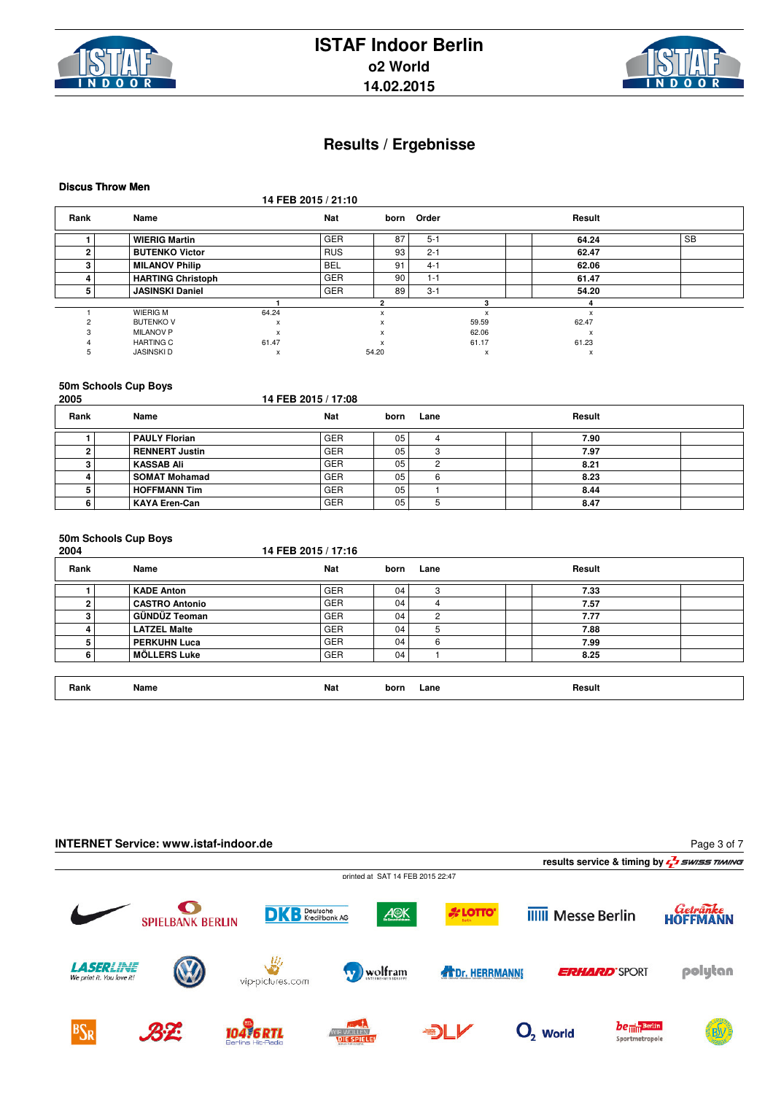



**Discus Throw Men**

**14 FEB 2015 / 21:10**

| Rank | Name                     |       | <b>Nat</b> |       | born Order |       | Result       |           |
|------|--------------------------|-------|------------|-------|------------|-------|--------------|-----------|
|      | <b>WIERIG Martin</b>     |       | <b>GER</b> | 87    | $5 - 1$    |       | 64.24        | <b>SB</b> |
|      | <b>BUTENKO Victor</b>    |       | <b>RUS</b> | 93    | $2 - 1$    |       | 62.47        |           |
|      | <b>MILANOV Philip</b>    |       | <b>BEL</b> | 91    | $4 - 1$    |       | 62.06        |           |
|      | <b>HARTING Christoph</b> |       | <b>GER</b> | 90    | $1 - 1$    |       | 61.47        |           |
|      | <b>JASINSKI Daniel</b>   |       | <b>GER</b> | 89    | $3 - 1$    |       | 54.20        |           |
|      |                          |       |            |       |            |       |              |           |
|      | <b>WIERIG M</b>          | 64.24 |            | X     |            |       | X            |           |
|      | <b>BUTENKO V</b>         | x     |            |       |            | 59.59 | 62.47        |           |
|      | <b>MILANOV P</b>         | x     |            |       |            | 62.06 | $\mathsf{x}$ |           |
|      | <b>HARTING C</b>         | 61.47 |            |       |            | 61.17 | 61.23        |           |
|      | <b>JASINSKID</b>         | x     |            | 54.20 |            | х     | x            |           |

#### **50m Schools Cup Boys**

| 2005 |                      | 14 FEB 2015 / 17:08 |      |      |        |
|------|----------------------|---------------------|------|------|--------|
| Rank | Name                 | Nat                 | born | Lane | Result |
|      | PAULY Florian        | <b>GER</b>          | 05   |      | 7.90   |
|      | RENNERT Justin       | <b>GER</b>          | 05   |      | 7.97   |
|      | KASSAB Ali           | <b>GER</b>          | 05   | ◠    | 8.21   |
|      | <b>SOMAT Mohamad</b> | <b>GER</b>          | 05   |      | 8.23   |
|      | <b>HOFFMANN Tim</b>  | <b>GER</b>          | 05   |      | 8.44   |
|      | KAYA Eren-Can        | <b>GER</b>          | 05   |      | 8.47   |

# **50m Schools Cup Boys**

| Rank | Name                  | <b>Nat</b> | born | Lane | Result |  |
|------|-----------------------|------------|------|------|--------|--|
|      | <b>KADE Anton</b>     | <b>GER</b> | 04   | 3    | 7.33   |  |
|      | <b>CASTRO Antonio</b> | <b>GER</b> | 04   |      | 7.57   |  |
| 3    | GÜNDÜZ Teoman         | <b>GER</b> | 04   | 2    | 7.77   |  |
|      | <b>LATZEL Malte</b>   | <b>GER</b> | 04   | 5    | 7.88   |  |
|      | <b>PERKUHN Luca</b>   | <b>GER</b> | 04   | 6    | 7.99   |  |
| 6    | <b>MÖLLERS Luke</b>   | <b>GER</b> | 04   |      | 8.25   |  |

**Rank Name Nat born Lane Result**

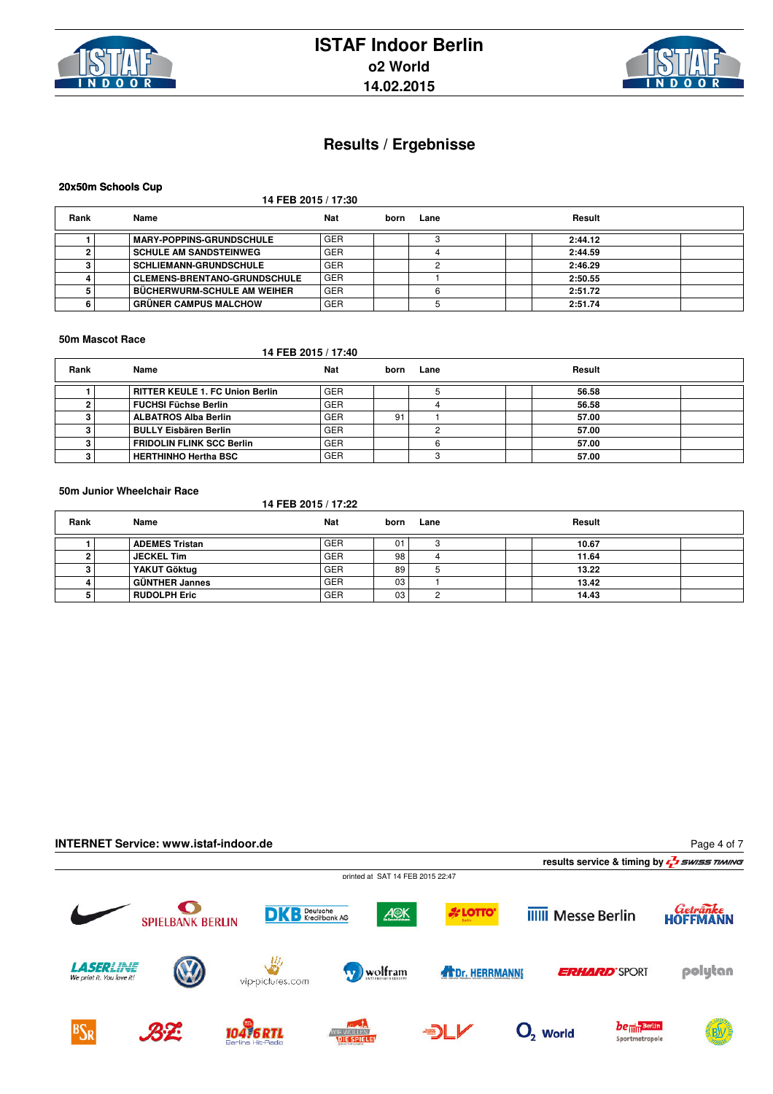



### **20x50m Schools Cup**

**14 FEB 2015 / 17:30**

| Rank | Name                                | Nat        | born | Lane | Result  |  |
|------|-------------------------------------|------------|------|------|---------|--|
|      | <b>IMARY-POPPINS-GRUNDSCHULE</b>    | <b>GER</b> |      |      | 2:44.12 |  |
|      | <b>SCHULE AM SANDSTEINWEG</b>       | <b>GER</b> |      |      | 2:44.59 |  |
|      | <b>SCHLIEMANN-GRUNDSCHULE</b>       | <b>GER</b> |      |      | 2:46.29 |  |
|      | <b>CLEMENS-BRENTANO-GRUNDSCHULE</b> | <b>GER</b> |      |      | 2:50.55 |  |
|      | I BÜCHERWURM-SCHULE AM WEIHER       | <b>GER</b> |      |      | 2:51.72 |  |
|      | ∣ GRÜNER CAMPUS MALCHOW             | <b>GER</b> |      |      | 2:51.74 |  |

#### **50m Mascot Race**

### **14 FEB 2015 / 17:40**

| Rank | Name                            | Nat        | born | Lane | Result |
|------|---------------------------------|------------|------|------|--------|
|      | RITTER KEULE 1. FC Union Berlin | <b>GER</b> |      |      | 56.58  |
|      | FUCHSI Füchse Berlin            | <b>GER</b> |      |      | 56.58  |
|      | ALBATROS Alba Berlin            | <b>GER</b> | 91   |      | 57.00  |
|      | <b>BULLY Eisbären Berlin</b>    | <b>GER</b> |      |      | 57.00  |
|      | FRIDOLIN FLINK SCC Berlin       | <b>GER</b> |      |      | 57.00  |
|      | HERTHINHO Hertha BSC            | <b>GER</b> |      |      | 57.00  |

### **50m Junior Wheelchair Race**

**14 FEB 2015 / 17:22**

| Rank | Name                  | Nat        | born | Lane | Result |
|------|-----------------------|------------|------|------|--------|
|      | <b>ADEMES Tristan</b> | <b>GER</b> | 0.   |      | 10.67  |
|      | <b>JECKEL Tim</b>     | <b>GER</b> | 98   |      | 11.64  |
|      | YAKUT Göktug          | <b>GER</b> | 89   |      | 13.22  |
|      | <b>GÜNTHER Jannes</b> | <b>GER</b> | 03   |      | 13.42  |
|      | <b>RUDOLPH Eric</b>   | <b>GER</b> | 03   |      | 14.43  |

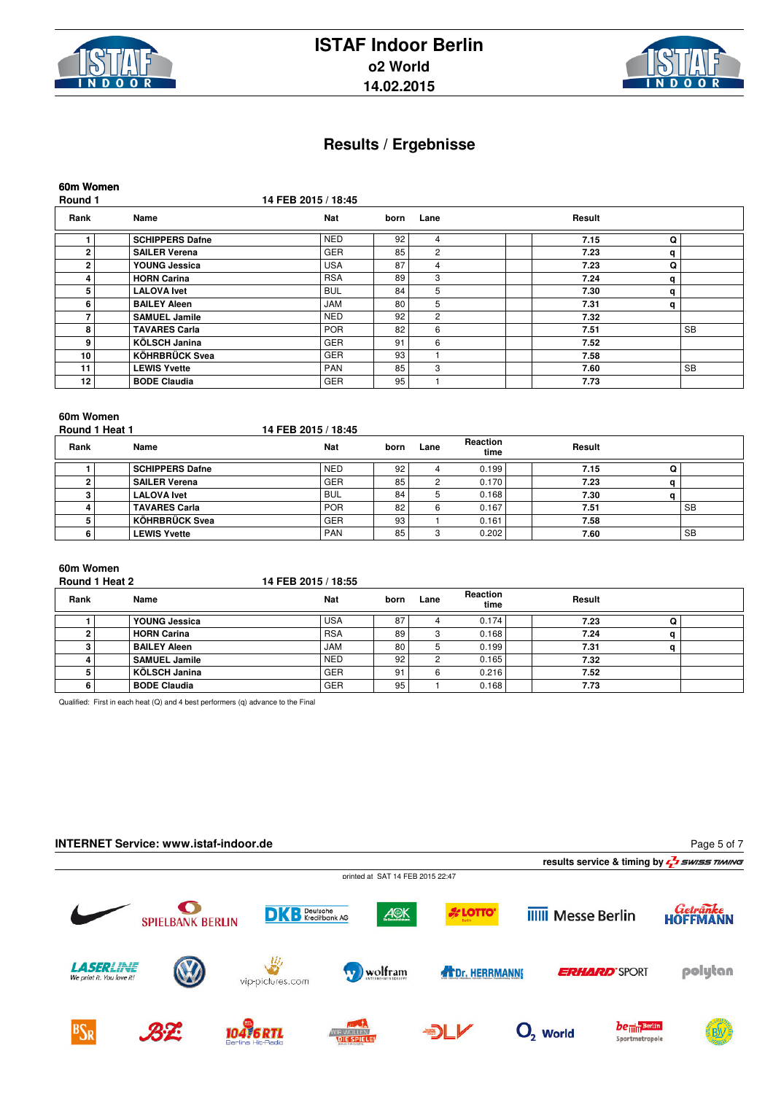



**60m Women**

**Round 1 14 FEB 2015 / 18:45**

| Rank | Name                   | <b>Nat</b> | born | Lane           | Result |   |           |
|------|------------------------|------------|------|----------------|--------|---|-----------|
|      | <b>SCHIPPERS Dafne</b> | <b>NED</b> | 92   | 4              | 7.15   | Q |           |
| 2    | <b>SAILER Verena</b>   | <b>GER</b> | 85   | $\overline{2}$ | 7.23   | q |           |
| 2    | YOUNG Jessica          | <b>USA</b> | 87   | 4              | 7.23   | Q |           |
| 4    | <b>HORN Carina</b>     | <b>RSA</b> | 89   | 3              | 7.24   | q |           |
| 5    | <b>LALOVA Ivet</b>     | <b>BUL</b> | 84   | 5              | 7.30   | q |           |
| 6    | <b>BAILEY Aleen</b>    | <b>JAM</b> | 80   | 5              | 7.31   | q |           |
|      | <b>SAMUEL Jamile</b>   | <b>NED</b> | 92   | $\overline{2}$ | 7.32   |   |           |
| 8    | <b>TAVARES Carla</b>   | <b>POR</b> | 82   | 6              | 7.51   |   | <b>SB</b> |
| 9    | KÖLSCH Janina          | <b>GER</b> | 91   | 6              | 7.52   |   |           |
| 10   | <b>KÖHRBRÜCK Svea</b>  | <b>GER</b> | 93   |                | 7.58   |   |           |
| 11   | <b>LEWIS Yvette</b>    | <b>PAN</b> | 85   | 3              | 7.60   |   | <b>SB</b> |
| 12   | <b>BODE Claudia</b>    | <b>GER</b> | 95   |                | 7.73   |   |           |

### **60m Women**

Round 1 Heat 1 **14 FEB 2015 / 18:45** 

| Rank | Name                   | <b>Nat</b> | born | Lane | <b>Reaction</b><br>time | Result |           |
|------|------------------------|------------|------|------|-------------------------|--------|-----------|
|      | <b>SCHIPPERS Dafne</b> | <b>NED</b> | 92   |      | 0.199                   | 7.15   |           |
|      | <b>SAILER Verena</b>   | <b>GER</b> | 85   |      | 0.170                   | 7.23   |           |
|      | <b>LALOVA</b> Ivet     | <b>BUL</b> | 84   |      | 0.168                   | 7.30   |           |
|      | <b>TAVARES Carla</b>   | <b>POR</b> | 82   |      | 0.167                   | 7.51   | <b>SB</b> |
|      | KÖHRBRÜCK Svea         | <b>GER</b> | 93   |      | 0.161                   | 7.58   |           |
|      | <b>LEWIS Yvette</b>    | <b>PAN</b> | 85   |      | 0.202                   | 7.60   | <b>SB</b> |

### **60m Women**

### **Round 1 Heat 2 14 FEB 2015 / 18:55**

| Rank | Name                 | <b>Nat</b> | born | Lane | <b>Reaction</b><br>time | Result |  |
|------|----------------------|------------|------|------|-------------------------|--------|--|
|      | YOUNG Jessica        | <b>USA</b> | 87   |      | 0.174                   | 7.23   |  |
|      | <b>HORN Carina</b>   | <b>RSA</b> | 89   |      | 0.168                   | 7.24   |  |
|      | <b>BAILEY Aleen</b>  | <b>JAM</b> | 80   |      | 0.199                   | 7.31   |  |
|      | <b>SAMUEL Jamile</b> | <b>NED</b> | 92   |      | 0.165                   | 7.32   |  |
|      | KÖLSCH Janina        | <b>GER</b> | 91   |      | 0.216                   | 7.52   |  |
|      | <b>BODE Claudia</b>  | <b>GER</b> | 95   |      | 0.168                   | 7.73   |  |

Qualified: First in each heat (Q) and 4 best performers (q) advance to the Final

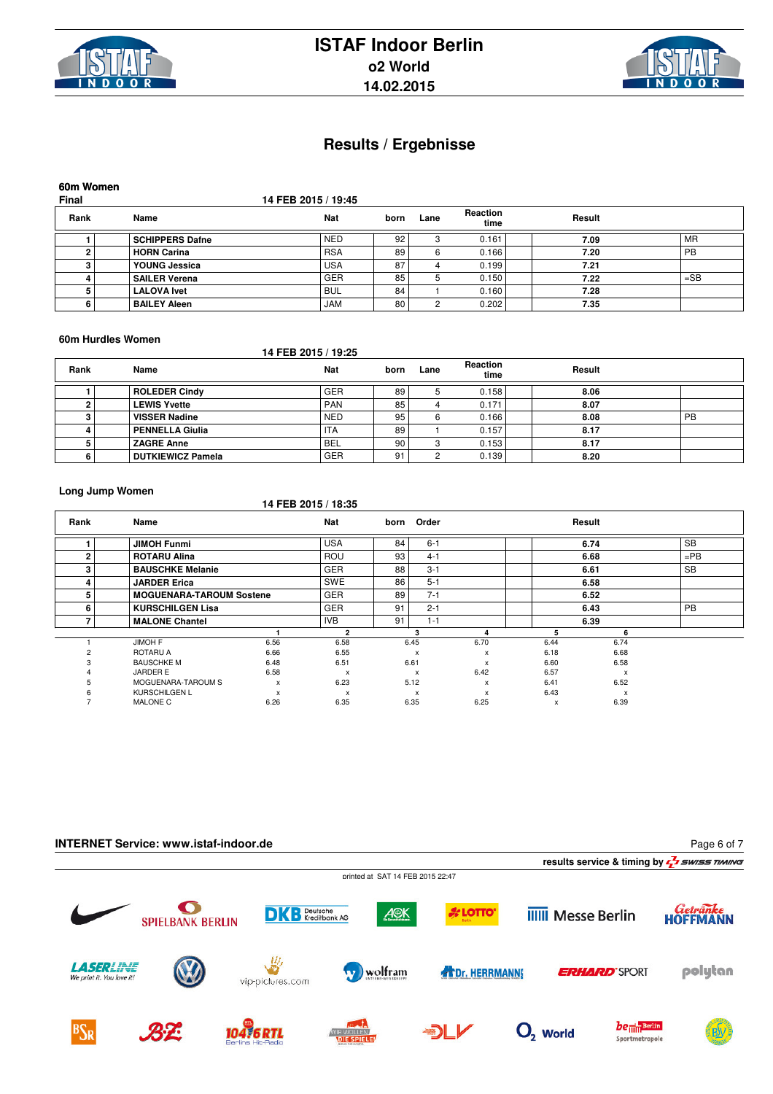



### **60m Women**

**Final 14 FEB 2015 / 19:45**

| Rank | Name                   | <b>Nat</b> | born | Lane | <b>Reaction</b><br>time | Result |                 |
|------|------------------------|------------|------|------|-------------------------|--------|-----------------|
|      | <b>SCHIPPERS Dafne</b> | <b>NED</b> | 92   |      | 0.161                   | 7.09   | MR <sup>'</sup> |
|      | <b>HORN Carina</b>     | <b>RSA</b> | 89   |      | 0.166                   | 7.20   | <b>PB</b>       |
|      | YOUNG Jessica          | <b>USA</b> | 87   |      | 0.199                   | 7.21   |                 |
|      | <b>SAILER Verena</b>   | <b>GER</b> | 85   |      | 0.150                   | 7.22   | $=$ SB          |
|      | <b>LALOVA</b> Ivet     | <b>BUL</b> | 84   |      | 0.160                   | 7.28   |                 |
|      | <b>BAILEY Aleen</b>    | JAM        | 80   |      | 0.202                   | 7.35   |                 |

#### **60m Hurdles Women**

### **14 FEB 2015 / 19:25**

| Rank | Name                     | Nat        | born | Lane | Reaction<br>time | Result |    |
|------|--------------------------|------------|------|------|------------------|--------|----|
|      | <b>ROLEDER Cindy</b>     | <b>GER</b> | 89   |      | 0.158            | 8.06   |    |
|      | <b>LEWIS Yvette</b>      | <b>PAN</b> | 85   |      | 0.171            | 8.07   |    |
|      | <b>VISSER Nadine</b>     | <b>NED</b> | 95   |      | 0.166            | 8.08   | PB |
|      | <b>PENNELLA Giulia</b>   | <b>ITA</b> | 89   |      | 0.157            | 8.17   |    |
|      | <b>ZAGRE Anne</b>        | <b>BEL</b> | 90   |      | 0.153            | 8.17   |    |
|      | <b>DUTKIEWICZ Pamela</b> | <b>GER</b> | 91   |      | 0.139            | 8.20   |    |

#### **Long Jump Women**

### **14 FEB 2015 / 18:35**

| Rank | Name                            |                           | <b>Nat</b>                | born | Order                     |      |      | Result |           |
|------|---------------------------------|---------------------------|---------------------------|------|---------------------------|------|------|--------|-----------|
|      | <b>JIMOH Funmi</b>              |                           | <b>USA</b>                | 84   | $6 - 1$                   |      |      | 6.74   | <b>SB</b> |
| n    | <b>ROTARU Alina</b>             |                           | <b>ROU</b>                | 93   | $4 - 1$                   |      |      | 6.68   | $=$ PB    |
| 3    | <b>BAUSCHKE Melanie</b>         |                           | <b>GER</b>                | 88   | $3 - 1$                   |      |      | 6.61   | <b>SB</b> |
| 4    | <b>JARDER Erica</b>             |                           | SWE                       | 86   | $5 - 1$                   |      |      | 6.58   |           |
| 5    | <b>MOGUENARA-TAROUM Sostene</b> |                           | <b>GER</b>                | 89   | $7 - 1$                   |      |      | 6.52   |           |
| 6    | <b>KURSCHILGEN Lisa</b>         |                           | <b>GER</b>                | 91   | $2 - 1$                   |      |      | 6.43   | <b>PB</b> |
|      | <b>MALONE Chantel</b>           |                           | <b>IVB</b>                | 91   | $1 - 1$                   |      |      | 6.39   |           |
|      |                                 |                           | 2                         |      | з                         | Λ    | 5    | 6      |           |
|      | <b>JIMOH F</b>                  | 6.56                      | 6.58                      |      | 6.45                      | 6.70 | 6.44 | 6.74   |           |
|      | ROTARU A                        | 6.66                      | 6.55                      |      | $\boldsymbol{\mathsf{x}}$ | x    | 6.18 | 6.68   |           |
|      | <b>BAUSCHKE M</b>               | 6.48                      | 6.51                      |      | 6.61                      | x    | 6.60 | 6.58   |           |
|      | <b>JARDER E</b>                 | 6.58                      | $\boldsymbol{\mathsf{x}}$ |      | $\boldsymbol{\mathsf{x}}$ | 6.42 | 6.57 | x      |           |
|      | MOGUENARA-TAROUM S              | $\boldsymbol{\mathsf{x}}$ | 6.23                      |      | 5.12                      | x    | 6.41 | 6.52   |           |
|      | <b>KURSCHILGEN L</b>            | X                         | $\boldsymbol{\mathsf{x}}$ |      | $\boldsymbol{\mathsf{x}}$ | x    | 6.43 | x      |           |
|      | <b>MALONE C</b>                 | 6.26                      | 6.35                      |      | 6.35                      | 6.25 | X    | 6.39   |           |